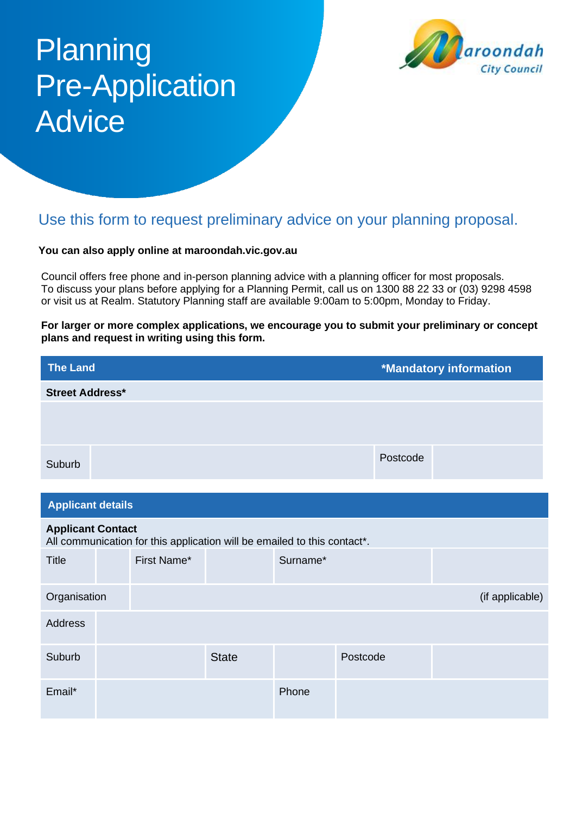# **Planning** Pre-Application **Advice**



# Use this form to request preliminary advice on your planning proposal.

#### **You can also apply online at maroondah.vic.gov.au**

Council offers free phone and in-person planning advice with a planning officer for most proposals. To discuss your plans before applying for a Planning Permit, call us on 1300 88 22 33 or (03) 9298 4598 or visit us at Realm. Statutory Planning staff are available 9:00am to 5:00pm, Monday to Friday.

**For larger or more complex applications, we encourage you to submit your preliminary or concept plans and request in writing using this form.**

| <b>The Land</b>          |  |                                                                          |              |          | <b>*Mandatory information</b> |  |                 |  |
|--------------------------|--|--------------------------------------------------------------------------|--------------|----------|-------------------------------|--|-----------------|--|
| <b>Street Address*</b>   |  |                                                                          |              |          |                               |  |                 |  |
|                          |  |                                                                          |              |          |                               |  |                 |  |
|                          |  |                                                                          |              |          |                               |  |                 |  |
| Suburb                   |  |                                                                          |              | Postcode |                               |  |                 |  |
|                          |  |                                                                          |              |          |                               |  |                 |  |
| <b>Applicant details</b> |  |                                                                          |              |          |                               |  |                 |  |
| <b>Applicant Contact</b> |  | All communication for this application will be emailed to this contact*. |              |          |                               |  |                 |  |
| <b>Title</b>             |  | First Name*                                                              |              | Surname* |                               |  |                 |  |
| Organisation             |  |                                                                          |              |          |                               |  | (if applicable) |  |
| <b>Address</b>           |  |                                                                          |              |          |                               |  |                 |  |
| Suburb                   |  |                                                                          | <b>State</b> |          | Postcode                      |  |                 |  |
| Email*                   |  |                                                                          |              | Phone    |                               |  |                 |  |